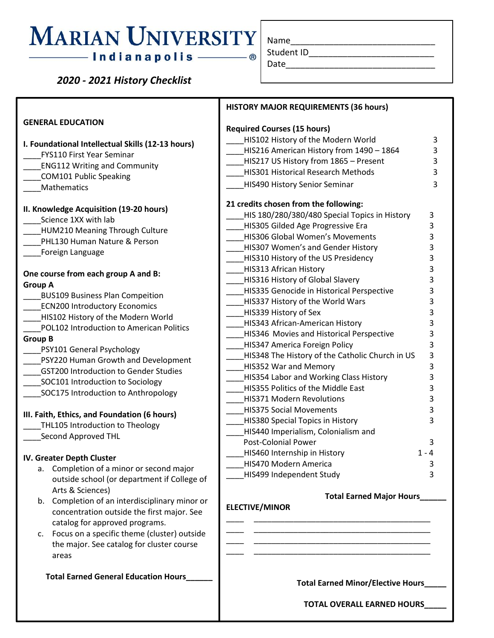# **MARIAN UNIVERSITY**

## —— Indianapolis ——

Name

 *2020 - 2021 History Checklist*

**I. Foundational Intellectual Skills (12-13 hours)**

\_\_\_\_FYS110 First Year Seminar \_\_\_\_ENG112 Writing and Community

\_\_\_\_COM101 Public Speaking

**GENERAL EDUCATION**

| Student     |  |
|-------------|--|
| <b>Data</b> |  |

## **HISTORY MAJOR REQUIREMENTS (36 hours) Required Courses (15 hours)** HIS102 History of the Modern World 3 \_\_\_\_HIS216 American History from 1490 – 1864 3 \_\_\_\_HIS217 US History from 1865 – Present 3

\_\_\_\_HIS301 Historical Research Methods 3 \_\_\_\_HIS490 History Senior Seminar 3 **21 credits chosen from the following:** HIS 180/280/380/480 Special Topics in History 3 \_\_\_\_HIS305 Gilded Age Progressive Era 3 \_\_\_\_HIS306 Global Women's Movements 3 \_\_\_\_HIS307 Women's and Gender History 3 \_\_\_\_HIS310 History of the US Presidency 3 \_\_\_\_HIS313 African History 3 \_\_\_\_HIS316 History of Global Slavery 3 HIS335 Genocide in Historical Perspective 3 LHIS337 History of the World Wars 3 \_\_\_\_HIS339 History of Sex 3 \_\_\_\_HIS343 African-American History 3 HIS346 Movies and Historical Perspective 3 \_\_\_\_HIS347 America Foreign Policy 3 HIS348 The History of the Catholic Church in US 3 HIS352 War and Memory 3 \_\_\_\_HIS354 Labor and Working Class History 3 \_\_\_\_HIS355 Politics of the Middle East 3 HIS371 Modern Revolutions 3 \_\_\_\_HIS375 Social Movements 3 \_\_\_\_HIS380 Special Topics in History 3 \_\_\_\_HIS440 Imperialism, Colonialism and Post-Colonial Power 3 HIS460 Internship in History 1 - 4 \_\_\_\_HIS470 Modern America 3 HIS499 Independent Study 3

\_\_\_\_ \_\_\_\_\_\_\_\_\_\_\_\_\_\_\_\_\_\_\_\_\_\_\_\_\_\_\_\_\_\_\_\_\_\_\_\_\_\_\_\_ \_\_\_\_ \_\_\_\_\_\_\_\_\_\_\_\_\_\_\_\_\_\_\_\_\_\_\_\_\_\_\_\_\_\_\_\_\_\_\_\_\_\_\_\_ \_\_\_\_ \_\_\_\_\_\_\_\_\_\_\_\_\_\_\_\_\_\_\_\_\_\_\_\_\_\_\_\_\_\_\_\_\_\_\_\_\_\_\_\_ \_\_\_\_ \_\_\_\_\_\_\_\_\_\_\_\_\_\_\_\_\_\_\_\_\_\_\_\_\_\_\_\_\_\_\_\_\_\_\_\_\_\_\_\_

#### **Total Earned Major Hours\_\_\_\_\_\_**

**ELECTIVE/MINOR**

**Total Earned Minor/Elective Hours\_\_\_\_\_**

**TOTAL OVERALL EARNED HOURS\_\_\_\_\_**

| <b>Mathematics</b>                                                                                       |
|----------------------------------------------------------------------------------------------------------|
| II. Knowledge Acquisition (19-20 hours)<br>Science 1XX with lab<br><b>HUM210 Meaning Through Culture</b> |
| PHL130 Human Nature & Person                                                                             |
| Foreign Language                                                                                         |
| One course from each group A and B:                                                                      |
| <b>Group A</b>                                                                                           |
| <b>BUS109 Business Plan Compeition</b>                                                                   |
| <b>ECN200 Introductory Economics</b>                                                                     |
| HIS102 History of the Modern World                                                                       |
| <b>POL102 Introduction to American Politics</b>                                                          |
| <b>Group B</b>                                                                                           |
| PSY101 General Psychology                                                                                |
| PSY220 Human Growth and Development                                                                      |
| <b>GST200 Introduction to Gender Studies</b>                                                             |
| SOC101 Introduction to Sociology                                                                         |
| SOC175 Introduction to Anthropology                                                                      |
| III. Faith, Ethics, and Foundation (6 hours)                                                             |
| THL105 Introduction to Theology                                                                          |
| Cocond Approved TUL                                                                                      |

\_\_\_\_Second Approved THL

#### **IV. Greater Depth Cluster**

- a. Completion of a minor or second major outside school (or department if College of Arts & Sciences)
- b. Completion of an interdisciplinary minor or concentration outside the first major. See catalog for approved programs.
- c. Focus on a specific theme (cluster) outside the major. See catalog for cluster course areas

 **Total Earned General Education Hours\_\_\_\_\_\_**

 $ID$ Date\_\_\_\_\_\_\_\_\_\_\_\_\_\_\_\_\_\_\_\_\_\_\_\_\_\_\_\_\_\_\_